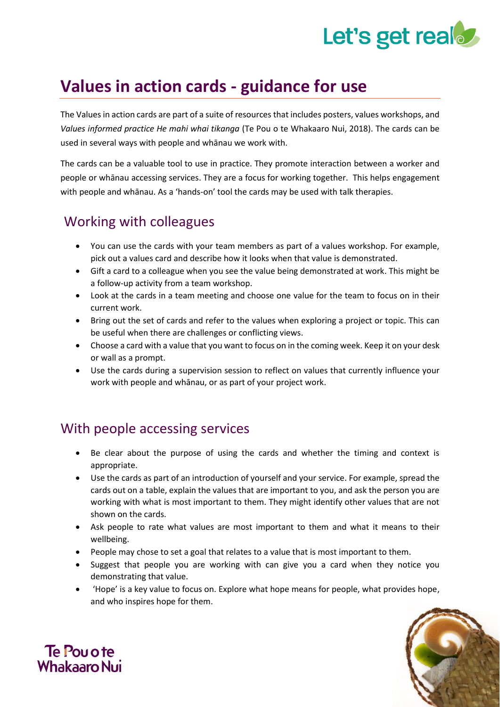# Let's get real

## **Values in action cards - guidance for use**

The Values in action cards are part of a suite of resources that includes posters, values workshops, and *Values informed practice He mahi whai tikanga* (Te Pou o te Whakaaro Nui, 2018). The cards can be used in several ways with people and whānau we work with.

The cards can be a valuable tool to use in practice. They promote interaction between a worker and people or whānau accessing services. They are a focus for working together. This helps engagement with people and whānau. As a 'hands-on' tool the cards may be used with talk therapies.

## Working with colleagues

- You can use the cards with your team members as part of a values workshop. For example, pick out a values card and describe how it looks when that value is demonstrated.
- Gift a card to a colleague when you see the value being demonstrated at work. This might be a follow-up activity from a team workshop.
- Look at the cards in a team meeting and choose one value for the team to focus on in their current work.
- Bring out the set of cards and refer to the values when exploring a project or topic. This can be useful when there are challenges or conflicting views.
- Choose a card with a value that you want to focus on in the coming week. Keep it on your desk or wall as a prompt.
- Use the cards during a supervision session to reflect on values that currently influence your work with people and whānau, or as part of your project work.

### With people accessing services

- Be clear about the purpose of using the cards and whether the timing and context is appropriate.
- Use the cards as part of an introduction of yourself and your service. For example, spread the cards out on a table, explain the values that are important to you, and ask the person you are working with what is most important to them. They might identify other values that are not shown on the cards.
- Ask people to rate what values are most important to them and what it means to their wellbeing.
- People may chose to set a goal that relates to a value that is most important to them.
- Suggest that people you are working with can give you a card when they notice you demonstrating that value.
- 'Hope' is a key value to focus on. Explore what hope means for people, what provides hope, and who inspires hope for them.